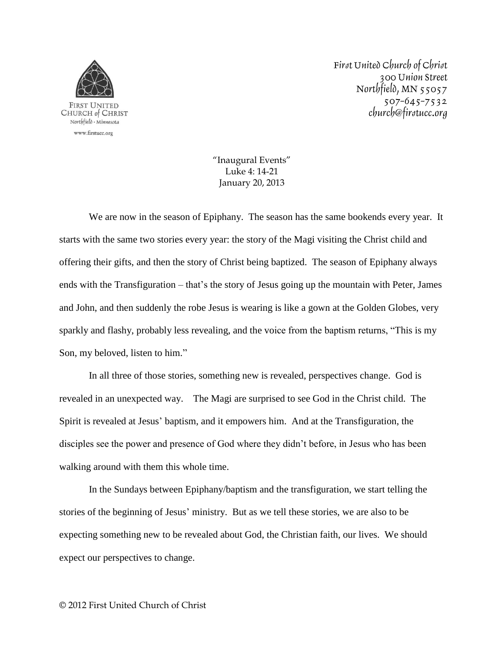

First United Church of Christ 300 Union Street Northfield, MN 55057 507-645-7532 church@firstucc.org

"Inaugural Events" Luke 4: 14-21 January 20, 2013

We are now in the season of Epiphany. The season has the same bookends every year. It starts with the same two stories every year: the story of the Magi visiting the Christ child and offering their gifts, and then the story of Christ being baptized. The season of Epiphany always ends with the Transfiguration – that's the story of Jesus going up the mountain with Peter, James and John, and then suddenly the robe Jesus is wearing is like a gown at the Golden Globes, very sparkly and flashy, probably less revealing, and the voice from the baptism returns, "This is my Son, my beloved, listen to him."

In all three of those stories, something new is revealed, perspectives change. God is revealed in an unexpected way. The Magi are surprised to see God in the Christ child. The Spirit is revealed at Jesus' baptism, and it empowers him. And at the Transfiguration, the disciples see the power and presence of God where they didn't before, in Jesus who has been walking around with them this whole time.

In the Sundays between Epiphany/baptism and the transfiguration, we start telling the stories of the beginning of Jesus' ministry. But as we tell these stories, we are also to be expecting something new to be revealed about God, the Christian faith, our lives. We should expect our perspectives to change.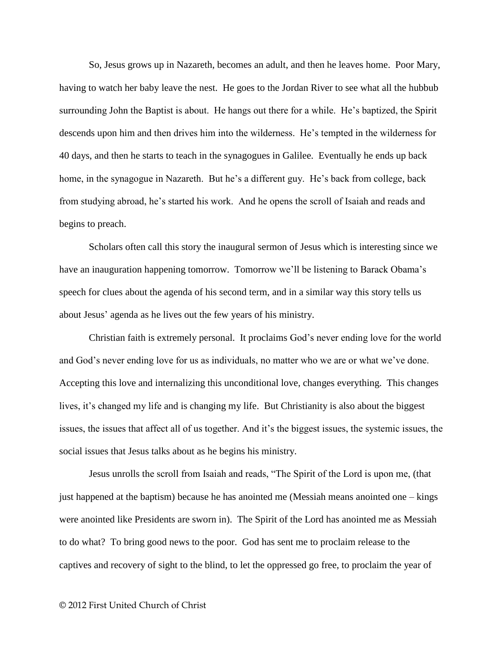So, Jesus grows up in Nazareth, becomes an adult, and then he leaves home. Poor Mary, having to watch her baby leave the nest. He goes to the Jordan River to see what all the hubbub surrounding John the Baptist is about. He hangs out there for a while. He's baptized, the Spirit descends upon him and then drives him into the wilderness. He's tempted in the wilderness for 40 days, and then he starts to teach in the synagogues in Galilee. Eventually he ends up back home, in the synagogue in Nazareth. But he's a different guy. He's back from college, back from studying abroad, he's started his work. And he opens the scroll of Isaiah and reads and begins to preach.

Scholars often call this story the inaugural sermon of Jesus which is interesting since we have an inauguration happening tomorrow. Tomorrow we'll be listening to Barack Obama's speech for clues about the agenda of his second term, and in a similar way this story tells us about Jesus' agenda as he lives out the few years of his ministry.

Christian faith is extremely personal. It proclaims God's never ending love for the world and God's never ending love for us as individuals, no matter who we are or what we've done. Accepting this love and internalizing this unconditional love, changes everything. This changes lives, it's changed my life and is changing my life. But Christianity is also about the biggest issues, the issues that affect all of us together. And it's the biggest issues, the systemic issues, the social issues that Jesus talks about as he begins his ministry.

Jesus unrolls the scroll from Isaiah and reads, "The Spirit of the Lord is upon me, (that just happened at the baptism) because he has anointed me (Messiah means anointed one – kings were anointed like Presidents are sworn in). The Spirit of the Lord has anointed me as Messiah to do what? To bring good news to the poor. God has sent me to proclaim release to the captives and recovery of sight to the blind, to let the oppressed go free, to proclaim the year of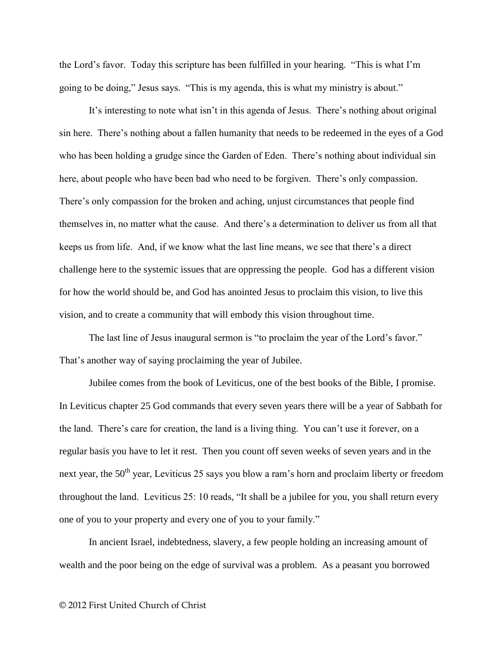the Lord's favor. Today this scripture has been fulfilled in your hearing. "This is what I'm going to be doing," Jesus says. "This is my agenda, this is what my ministry is about."

It's interesting to note what isn't in this agenda of Jesus. There's nothing about original sin here. There's nothing about a fallen humanity that needs to be redeemed in the eyes of a God who has been holding a grudge since the Garden of Eden. There's nothing about individual sin here, about people who have been bad who need to be forgiven. There's only compassion. There's only compassion for the broken and aching, unjust circumstances that people find themselves in, no matter what the cause. And there's a determination to deliver us from all that keeps us from life. And, if we know what the last line means, we see that there's a direct challenge here to the systemic issues that are oppressing the people. God has a different vision for how the world should be, and God has anointed Jesus to proclaim this vision, to live this vision, and to create a community that will embody this vision throughout time.

The last line of Jesus inaugural sermon is "to proclaim the year of the Lord's favor." That's another way of saying proclaiming the year of Jubilee.

Jubilee comes from the book of Leviticus, one of the best books of the Bible, I promise. In Leviticus chapter 25 God commands that every seven years there will be a year of Sabbath for the land. There's care for creation, the land is a living thing. You can't use it forever, on a regular basis you have to let it rest. Then you count off seven weeks of seven years and in the next year, the 50<sup>th</sup> year, Leviticus 25 says you blow a ram's horn and proclaim liberty or freedom throughout the land. Leviticus 25: 10 reads, "It shall be a jubilee for you, you shall return every one of you to your property and every one of you to your family."

In ancient Israel, indebtedness, slavery, a few people holding an increasing amount of wealth and the poor being on the edge of survival was a problem. As a peasant you borrowed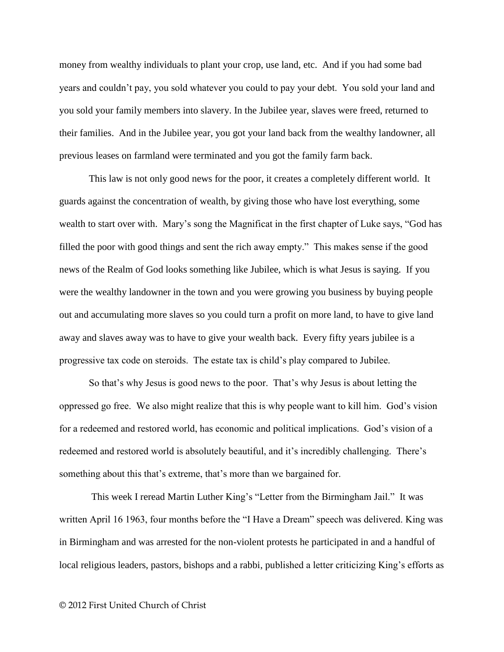money from wealthy individuals to plant your crop, use land, etc. And if you had some bad years and couldn't pay, you sold whatever you could to pay your debt. You sold your land and you sold your family members into slavery. In the Jubilee year, slaves were freed, returned to their families. And in the Jubilee year, you got your land back from the wealthy landowner, all previous leases on farmland were terminated and you got the family farm back.

This law is not only good news for the poor, it creates a completely different world. It guards against the concentration of wealth, by giving those who have lost everything, some wealth to start over with. Mary's song the Magnificat in the first chapter of Luke says, "God has filled the poor with good things and sent the rich away empty." This makes sense if the good news of the Realm of God looks something like Jubilee, which is what Jesus is saying. If you were the wealthy landowner in the town and you were growing you business by buying people out and accumulating more slaves so you could turn a profit on more land, to have to give land away and slaves away was to have to give your wealth back. Every fifty years jubilee is a progressive tax code on steroids. The estate tax is child's play compared to Jubilee.

So that's why Jesus is good news to the poor. That's why Jesus is about letting the oppressed go free. We also might realize that this is why people want to kill him. God's vision for a redeemed and restored world, has economic and political implications. God's vision of a redeemed and restored world is absolutely beautiful, and it's incredibly challenging. There's something about this that's extreme, that's more than we bargained for.

This week I reread Martin Luther King's "Letter from the Birmingham Jail." It was written April 16 1963, four months before the "I Have a Dream" speech was delivered. King was in Birmingham and was arrested for the non-violent protests he participated in and a handful of local religious leaders, pastors, bishops and a rabbi, published a letter criticizing King's efforts as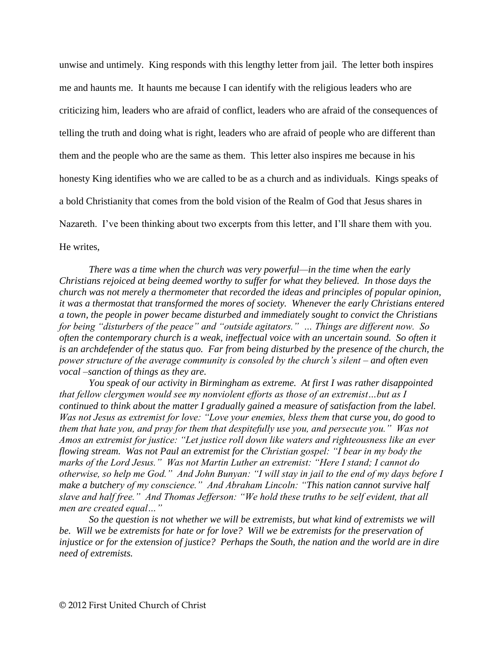unwise and untimely. King responds with this lengthy letter from jail. The letter both inspires me and haunts me. It haunts me because I can identify with the religious leaders who are criticizing him, leaders who are afraid of conflict, leaders who are afraid of the consequences of telling the truth and doing what is right, leaders who are afraid of people who are different than them and the people who are the same as them. This letter also inspires me because in his honesty King identifies who we are called to be as a church and as individuals. Kings speaks of a bold Christianity that comes from the bold vision of the Realm of God that Jesus shares in Nazareth. I've been thinking about two excerpts from this letter, and I'll share them with you. He writes,

*There was a time when the church was very powerful—in the time when the early Christians rejoiced at being deemed worthy to suffer for what they believed. In those days the church was not merely a thermometer that recorded the ideas and principles of popular opinion, it was a thermostat that transformed the mores of society. Whenever the early Christians entered a town, the people in power became disturbed and immediately sought to convict the Christians for being "disturbers of the peace" and "outside agitators." … Things are different now. So often the contemporary church is a weak, ineffectual voice with an uncertain sound. So often it is an archdefender of the status quo. Far from being disturbed by the presence of the church, the power structure of the average community is consoled by the church's silent – and often even vocal –sanction of things as they are.*

*You speak of our activity in Birmingham as extreme. At first I was rather disappointed that fellow clergymen would see my nonviolent efforts as those of an extremist…but as I continued to think about the matter I gradually gained a measure of satisfaction from the label. Was not Jesus as extremist for love: "Love your enemies, bless them that curse you, do good to them that hate you, and pray for them that despitefully use you, and persecute you." Was not Amos an extremist for justice: "Let justice roll down like waters and righteousness like an ever flowing stream. Was not Paul an extremist for the Christian gospel: "I bear in my body the marks of the Lord Jesus." Was not Martin Luther an extremist: "Here I stand; I cannot do otherwise, so help me God." And John Bunyan: "I will stay in jail to the end of my days before I make a butchery of my conscience." And Abraham Lincoln: "This nation cannot survive half slave and half free." And Thomas Jefferson: "We hold these truths to be self evident, that all men are created equal…"*

*So the question is not whether we will be extremists, but what kind of extremists we will be. Will we be extremists for hate or for love? Will we be extremists for the preservation of injustice or for the extension of justice? Perhaps the South, the nation and the world are in dire need of extremists.*